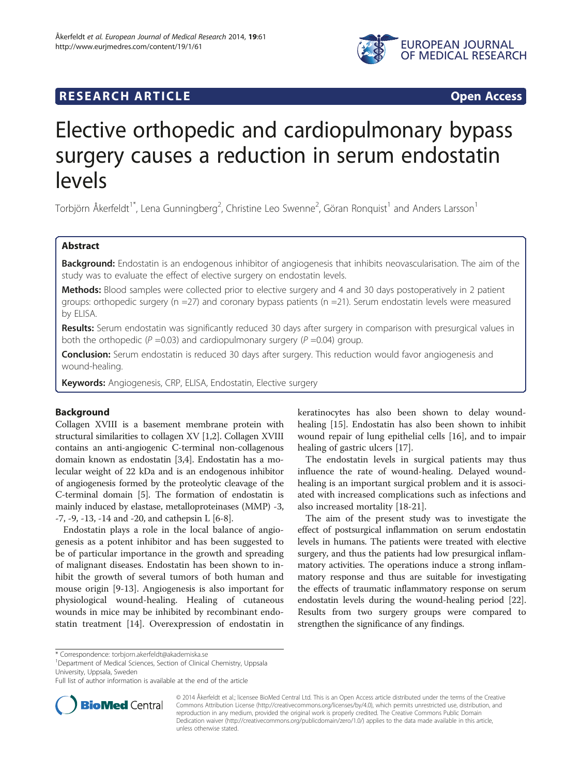

# **RESEARCH ARTICLE Example 2018 12:00 Open Access**

# Elective orthopedic and cardiopulmonary bypass surgery causes a reduction in serum endostatin levels

Torbjörn Åkerfeldt<sup>1\*</sup>, Lena Gunningberg<sup>2</sup>, Christine Leo Swenne<sup>2</sup>, Göran Ronquist<sup>1</sup> and Anders Larsson<sup>1</sup>

# Abstract

Background: Endostatin is an endogenous inhibitor of angiogenesis that inhibits neovascularisation. The aim of the study was to evaluate the effect of elective surgery on endostatin levels.

Methods: Blood samples were collected prior to elective surgery and 4 and 30 days postoperatively in 2 patient groups: orthopedic surgery (n =27) and coronary bypass patients (n =21). Serum endostatin levels were measured by ELISA.

Results: Serum endostatin was significantly reduced 30 days after surgery in comparison with presurgical values in both the orthopedic ( $P = 0.03$ ) and cardiopulmonary surgery ( $P = 0.04$ ) group.

Conclusion: Serum endostatin is reduced 30 days after surgery. This reduction would favor angiogenesis and wound-healing.

Keywords: Angiogenesis, CRP, ELISA, Endostatin, Elective surgery

# Background

Collagen XVIII is a basement membrane protein with structural similarities to collagen XV [\[1,2\]](#page-2-0). Collagen XVIII contains an anti-angiogenic C-terminal non-collagenous domain known as endostatin [[3,4\]](#page-2-0). Endostatin has a molecular weight of 22 kDa and is an endogenous inhibitor of angiogenesis formed by the proteolytic cleavage of the C-terminal domain [[5\]](#page-2-0). The formation of endostatin is mainly induced by elastase, metalloproteinases (MMP) -3, -7, -9, -13, -14 and -20, and cathepsin L [[6-8\]](#page-2-0).

Endostatin plays a role in the local balance of angiogenesis as a potent inhibitor and has been suggested to be of particular importance in the growth and spreading of malignant diseases. Endostatin has been shown to inhibit the growth of several tumors of both human and mouse origin [[9-](#page-2-0)[13\]](#page-3-0). Angiogenesis is also important for physiological wound-healing. Healing of cutaneous wounds in mice may be inhibited by recombinant endostatin treatment [[14\]](#page-3-0). Overexpression of endostatin in

keratinocytes has also been shown to delay woundhealing [\[15](#page-3-0)]. Endostatin has also been shown to inhibit wound repair of lung epithelial cells [[16](#page-3-0)], and to impair healing of gastric ulcers [[17\]](#page-3-0).

The endostatin levels in surgical patients may thus influence the rate of wound-healing. Delayed woundhealing is an important surgical problem and it is associated with increased complications such as infections and also increased mortality [\[18-21](#page-3-0)].

The aim of the present study was to investigate the effect of postsurgical inflammation on serum endostatin levels in humans. The patients were treated with elective surgery, and thus the patients had low presurgical inflammatory activities. The operations induce a strong inflammatory response and thus are suitable for investigating the effects of traumatic inflammatory response on serum endostatin levels during the wound-healing period [[22](#page-3-0)]. Results from two surgery groups were compared to strengthen the significance of any findings.

Full list of author information is available at the end of the article



© 2014 Åkerfeldt et al.; licensee BioMed Central Ltd. This is an Open Access article distributed under the terms of the Creative Commons Attribution License [\(http://creativecommons.org/licenses/by/4.0\)](http://creativecommons.org/licenses/by/4.0), which permits unrestricted use, distribution, and reproduction in any medium, provided the original work is properly credited. The Creative Commons Public Domain Dedication waiver [\(http://creativecommons.org/publicdomain/zero/1.0/](http://creativecommons.org/publicdomain/zero/1.0/)) applies to the data made available in this article, unless otherwise stated.

<sup>\*</sup> Correspondence: [torbjorn.akerfeldt@akademiska.se](mailto:torbjorn.akerfeldt@akademiska.se) <sup>1</sup>

<sup>&</sup>lt;sup>1</sup>Department of Medical Sciences, Section of Clinical Chemistry, Uppsala University, Uppsala, Sweden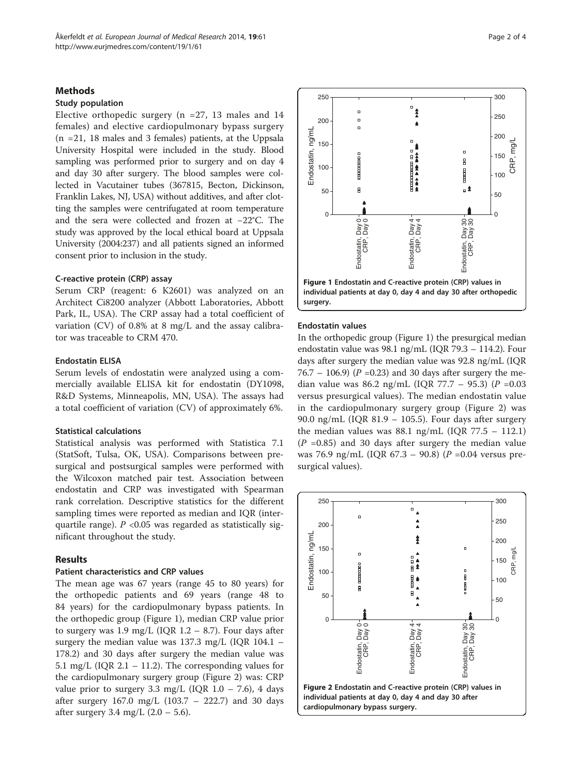# **Methods**

# Study population

Elective orthopedic surgery ( $n = 27$ , 13 males and 14 females) and elective cardiopulmonary bypass surgery (n =21, 18 males and 3 females) patients, at the Uppsala University Hospital were included in the study. Blood sampling was performed prior to surgery and on day 4 and day 30 after surgery. The blood samples were collected in Vacutainer tubes (367815, Becton, Dickinson, Franklin Lakes, NJ, USA) without additives, and after clotting the samples were centrifugated at room temperature and the sera were collected and frozen at −22°C. The study was approved by the local ethical board at Uppsala University (2004:237) and all patients signed an informed consent prior to inclusion in the study.

# C-reactive protein (CRP) assay

Serum CRP (reagent: 6 K2601) was analyzed on an Architect Ci8200 analyzer (Abbott Laboratories, Abbott Park, IL, USA). The CRP assay had a total coefficient of variation (CV) of 0.8% at 8 mg/L and the assay calibrator was traceable to CRM 470.

# Endostatin ELISA

Serum levels of endostatin were analyzed using a commercially available ELISA kit for endostatin (DY1098, R&D Systems, Minneapolis, MN, USA). The assays had a total coefficient of variation (CV) of approximately 6%.

#### Statistical calculations

Statistical analysis was performed with Statistica 7.1 (StatSoft, Tulsa, OK, USA). Comparisons between presurgical and postsurgical samples were performed with the Wilcoxon matched pair test. Association between endostatin and CRP was investigated with Spearman rank correlation. Descriptive statistics for the different sampling times were reported as median and IQR (interquartile range).  $P < 0.05$  was regarded as statistically significant throughout the study.

# Results

#### Patient characteristics and CRP values

The mean age was 67 years (range 45 to 80 years) for the orthopedic patients and 69 years (range 48 to 84 years) for the cardiopulmonary bypass patients. In the orthopedic group (Figure 1), median CRP value prior to surgery was 1.9 mg/L (IQR  $1.2 - 8.7$ ). Four days after surgery the median value was 137.3 mg/L (IQR 104.1 – 178.2) and 30 days after surgery the median value was 5.1 mg/L (IQR 2.1 – 11.2). The corresponding values for the cardiopulmonary surgery group (Figure 2) was: CRP value prior to surgery 3.3 mg/L (IQR  $1.0 - 7.6$ ), 4 days after surgery 167.0 mg/L (103.7 – 222.7) and 30 days after surgery 3.4 mg/L  $(2.0 - 5.6)$ .





## Endostatin values

In the orthopedic group (Figure 1) the presurgical median endostatin value was 98.1 ng/mL (IQR 79.3 – 114.2). Four days after surgery the median value was 92.8 ng/mL (IQR 76.7 – 106.9) ( $P = 0.23$ ) and 30 days after surgery the median value was 86.2 ng/mL (IQR 77.7 – 95.3) ( $P = 0.03$ versus presurgical values). The median endostatin value in the cardiopulmonary surgery group (Figure 2) was 90.0 ng/mL (IQR 81.9 – 105.5). Four days after surgery the median values was 88.1 ng/mL (IQR  $77.5 - 112.1$ )  $(P = 0.85)$  and 30 days after surgery the median value was 76.9 ng/mL (IQR 67.3 – 90.8) ( $P = 0.04$  versus presurgical values).

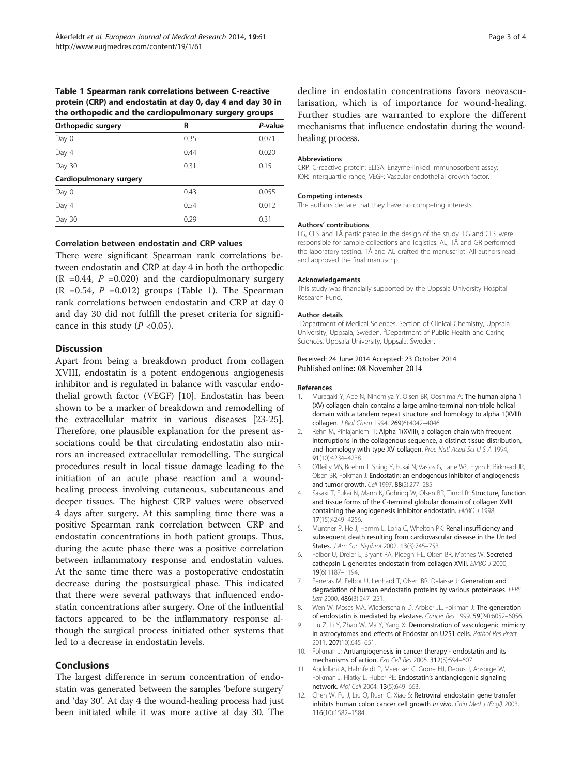# <span id="page-2-0"></span>Table 1 Spearman rank correlations between C-reactive protein (CRP) and endostatin at day 0, day 4 and day 30 in the orthopedic and the cardiopulmonary surgery groups

| Orthopedic surgery      | R    | P-value |
|-------------------------|------|---------|
| Day 0                   | 0.35 | 0.071   |
| Day 4                   | 0.44 | 0.020   |
| Day 30                  | 0.31 | 0.15    |
| Cardiopulmonary surgery |      |         |
| Day 0                   | 0.43 | 0.055   |
| Day 4                   | 0.54 | 0.012   |
| Day 30                  | 0.29 | 0.31    |

# Correlation between endostatin and CRP values

There were significant Spearman rank correlations between endostatin and CRP at day 4 in both the orthopedic  $(R = 0.44, P = 0.020)$  and the cardiopulmonary surgery  $(R = 0.54, P = 0.012)$  groups (Table 1). The Spearman rank correlations between endostatin and CRP at day 0 and day 30 did not fulfill the preset criteria for significance in this study ( $P < 0.05$ ).

#### **Discussion**

Apart from being a breakdown product from collagen XVIII, endostatin is a potent endogenous angiogenesis inhibitor and is regulated in balance with vascular endothelial growth factor (VEGF) [10]. Endostatin has been shown to be a marker of breakdown and remodelling of the extracellular matrix in various diseases [\[23-25](#page-3-0)]. Therefore, one plausible explanation for the present associations could be that circulating endostatin also mirrors an increased extracellular remodelling. The surgical procedures result in local tissue damage leading to the initiation of an acute phase reaction and a woundhealing process involving cutaneous, subcutaneous and deeper tissues. The highest CRP values were observed 4 days after surgery. At this sampling time there was a positive Spearman rank correlation between CRP and endostatin concentrations in both patient groups. Thus, during the acute phase there was a positive correlation between inflammatory response and endostatin values. At the same time there was a postoperative endostatin decrease during the postsurgical phase. This indicated that there were several pathways that influenced endostatin concentrations after surgery. One of the influential factors appeared to be the inflammatory response although the surgical process initiated other systems that led to a decrease in endostatin levels.

# Conclusions

The largest difference in serum concentration of endostatin was generated between the samples 'before surgery' and 'day 30'. At day 4 the wound-healing process had just been initiated while it was more active at day 30. The

decline in endostatin concentrations favors neovascularisation, which is of importance for wound-healing. Further studies are warranted to explore the different mechanisms that influence endostatin during the woundhealing process.

#### Abbreviations

CRP: C-reactive protein; ELISA: Enzyme-linked immunosorbent assay; IQR: Interquartile range; VEGF: Vascular endothelial growth factor.

#### Competing interests

The authors declare that they have no competing interests.

#### Authors' contributions

LG, CLS and TÅ participated in the design of the study. LG and CLS were responsible for sample collections and logistics. AL, TÅ and GR performed the laboratory testing. TÅ and AL drafted the manuscript. All authors read and approved the final manuscript.

#### Acknowledgements

This study was financially supported by the Uppsala University Hospital Research Fund.

#### Author details

<sup>1</sup>Department of Medical Sciences, Section of Clinical Chemistry, Uppsala University, Uppsala, Sweden. <sup>2</sup>Department of Public Health and Caring Sciences, Uppsala University, Uppsala, Sweden.

#### Received: 24 June 2014 Accepted: 23 October 2014 Published online: 08 November 2014

#### References

- 1. Muragaki Y, Abe N, Ninomiya Y, Olsen BR, Ooshima A: The human alpha 1 (XV) collagen chain contains a large amino-terminal non-triple helical domain with a tandem repeat structure and homology to alpha 1(XVIII) collagen. J Biol Chem 1994, 269(6):4042–4046.
- 2. Rehn M, Pihlajaniemi T: Alpha 1(XVIII), a collagen chain with frequent interruptions in the collagenous sequence, a distinct tissue distribution, and homology with type XV collagen. Proc Natl Acad Sci U S A 1994, 91(10):4234–4238.
- 3. O'Reilly MS, Boehm T, Shing Y, Fukai N, Vasios G, Lane WS, Flynn E, Birkhead JR, Olsen BR, Folkman J: Endostatin: an endogenous inhibitor of angiogenesis and tumor growth. Cell 1997, 88(2):277-285.
- 4. Sasaki T, Fukai N, Mann K, Gohring W, Olsen BR, Timpl R: Structure, function and tissue forms of the C-terminal globular domain of collagen XVIII containing the angiogenesis inhibitor endostatin. EMBO J 1998, 17(15):4249–4256.
- 5. Muntner P, He J, Hamm L, Loria C, Whelton PK: Renal insufficiency and subsequent death resulting from cardiovascular disease in the United States. J Am Soc Nephrol 2002, 13(3):745–753.
- 6. Felbor U, Dreier L, Bryant RA, Ploegh HL, Olsen BR, Mothes W: Secreted cathepsin L generates endostatin from collagen XVIII. EMBO J 2000, 19(6):1187–1194.
- 7. Ferreras M, Felbor U, Lenhard T, Olsen BR, Delaisse J: Generation and degradation of human endostatin proteins by various proteinases. FEBS Lett 2000, 486(3):247–251.
- 8. Wen W, Moses MA, Wiederschain D, Arbiser JL, Folkman J: The generation of endostatin is mediated by elastase. Cancer Res 1999, 59(24):6052–6056.
- 9. Liu Z, Li Y, Zhao W, Ma Y, Yang X: Demonstration of vasculogenic mimicry in astrocytomas and effects of Endostar on U251 cells. Pathol Res Pract 2011, 207(10):645–651.
- 10. Folkman J: Antiangiogenesis in cancer therapy endostatin and its mechanisms of action. Exp Cell Res 2006, 312(5):594–607.
- 11. Abdollahi A, Hahnfeldt P, Maercker C, Grone HJ, Debus J, Ansorge W, Folkman J, Hlatky L, Huber PE: Endostatin's antiangiogenic signaling network. Mol Cell 2004, 13(5):649–663.
- 12. Chen W, Fu J, Liu Q, Ruan C, Xiao S: Retroviral endostatin gene transfer inhibits human colon cancer cell growth in vivo. Chin Med J (Engl) 2003, 116(10):1582–1584.